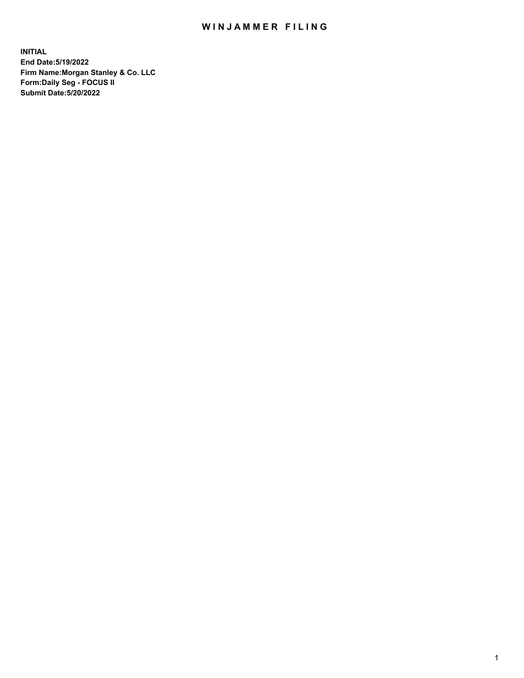## WIN JAMMER FILING

**INITIAL End Date:5/19/2022 Firm Name:Morgan Stanley & Co. LLC Form:Daily Seg - FOCUS II Submit Date:5/20/2022**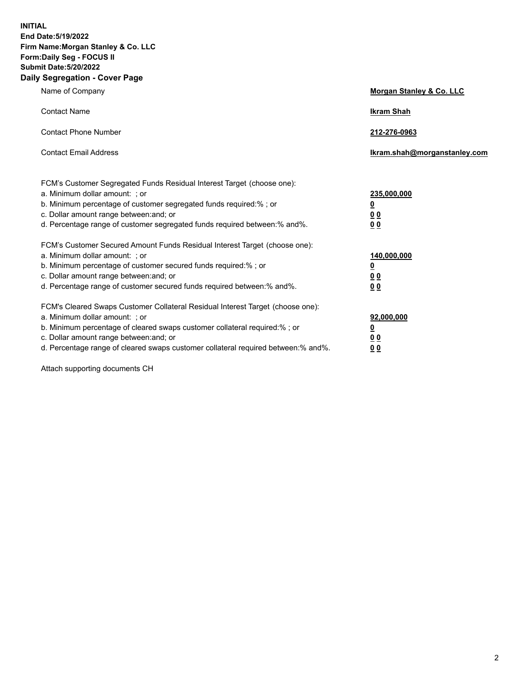**INITIAL End Date:5/19/2022 Firm Name:Morgan Stanley & Co. LLC Form:Daily Seg - FOCUS II Submit Date:5/20/2022 Daily Segregation - Cover Page**

| Name of Company                                                                                                                                                                                                                                                                                                                | Morgan Stanley & Co. LLC                               |
|--------------------------------------------------------------------------------------------------------------------------------------------------------------------------------------------------------------------------------------------------------------------------------------------------------------------------------|--------------------------------------------------------|
| <b>Contact Name</b>                                                                                                                                                                                                                                                                                                            | <b>Ikram Shah</b>                                      |
| <b>Contact Phone Number</b>                                                                                                                                                                                                                                                                                                    | 212-276-0963                                           |
| <b>Contact Email Address</b>                                                                                                                                                                                                                                                                                                   | Ikram.shah@morganstanley.com                           |
| FCM's Customer Segregated Funds Residual Interest Target (choose one):<br>a. Minimum dollar amount: ; or<br>b. Minimum percentage of customer segregated funds required:% ; or<br>c. Dollar amount range between: and; or<br>d. Percentage range of customer segregated funds required between:% and%.                         | 235,000,000<br><u>0</u><br>0 <sup>0</sup><br><u>00</u> |
| FCM's Customer Secured Amount Funds Residual Interest Target (choose one):<br>a. Minimum dollar amount: ; or<br>b. Minimum percentage of customer secured funds required:% ; or<br>c. Dollar amount range between: and; or<br>d. Percentage range of customer secured funds required between:% and%.                           | 140,000,000<br><u>0</u><br><u>00</u><br>00             |
| FCM's Cleared Swaps Customer Collateral Residual Interest Target (choose one):<br>a. Minimum dollar amount: ; or<br>b. Minimum percentage of cleared swaps customer collateral required:% ; or<br>c. Dollar amount range between: and; or<br>d. Percentage range of cleared swaps customer collateral required between:% and%. | 92,000,000<br><u>0</u><br><u>00</u><br>00              |

Attach supporting documents CH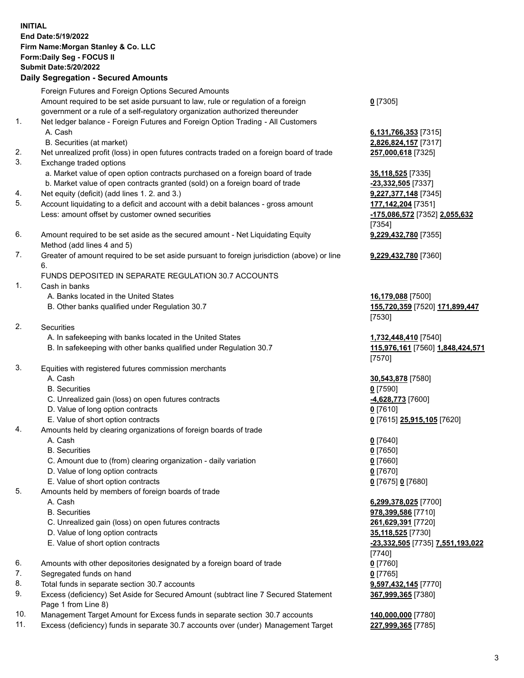## **INITIAL End Date:5/19/2022 Firm Name:Morgan Stanley & Co. LLC Form:Daily Seg - FOCUS II Submit Date:5/20/2022 Daily Segregation - Secured Amounts** Foreign Futures and Foreign Options Secured Amounts Amount required to be set aside pursuant to law, rule or regulation of a foreign government or a rule of a self-regulatory organization authorized thereunder **0** [7305] 1. Net ledger balance - Foreign Futures and Foreign Option Trading - All Customers A. Cash **6,131,766,353** [7315] B. Securities (at market) **2,826,824,157** [7317] 2. Net unrealized profit (loss) in open futures contracts traded on a foreign board of trade **257,000,618** [7325] 3. Exchange traded options a. Market value of open option contracts purchased on a foreign board of trade **35,118,525** [7335] b. Market value of open contracts granted (sold) on a foreign board of trade **-23,332,505** [7337] 4. Net equity (deficit) (add lines 1. 2. and 3.) **9,227,377,148** [7345] 5. Account liquidating to a deficit and account with a debit balances - gross amount **177,142,204** [7351] Less: amount offset by customer owned securities **-175,086,572** [7352] **2,055,632** [7354] 6. Amount required to be set aside as the secured amount - Net Liquidating Equity Method (add lines 4 and 5) **9,229,432,780** [7355] 7. Greater of amount required to be set aside pursuant to foreign jurisdiction (above) or line 6. **9,229,432,780** [7360] FUNDS DEPOSITED IN SEPARATE REGULATION 30.7 ACCOUNTS 1. Cash in banks A. Banks located in the United States **16,179,088** [7500] B. Other banks qualified under Regulation 30.7 **155,720,359** [7520] **171,899,447** [7530] 2. Securities A. In safekeeping with banks located in the United States **1,732,448,410** [7540] B. In safekeeping with other banks qualified under Regulation 30.7 **115,976,161** [7560] **1,848,424,571** [7570] 3. Equities with registered futures commission merchants A. Cash **30,543,878** [7580] B. Securities **0** [7590] C. Unrealized gain (loss) on open futures contracts **-4,628,773** [7600] D. Value of long option contracts **0** [7610] E. Value of short option contracts **0** [7615] **25,915,105** [7620] 4. Amounts held by clearing organizations of foreign boards of trade A. Cash **0** [7640] B. Securities **0** [7650] C. Amount due to (from) clearing organization - daily variation **0** [7660] D. Value of long option contracts **0** [7670] E. Value of short option contracts **0** [7675] **0** [7680] 5. Amounts held by members of foreign boards of trade A. Cash **6,299,378,025** [7700] B. Securities **978,399,586** [7710] C. Unrealized gain (loss) on open futures contracts **261,629,391** [7720] D. Value of long option contracts **35,118,525** [7730] E. Value of short option contracts **-23,332,505** [7735] **7,551,193,022** [7740] 6. Amounts with other depositories designated by a foreign board of trade **0** [7760] 7. Segregated funds on hand **0** [7765] 8. Total funds in separate section 30.7 accounts **9,597,432,145** [7770]

- 9. Excess (deficiency) Set Aside for Secured Amount (subtract line 7 Secured Statement Page 1 from Line 8)
- 10. Management Target Amount for Excess funds in separate section 30.7 accounts **140,000,000** [7780]
- 11. Excess (deficiency) funds in separate 30.7 accounts over (under) Management Target **227,999,365** [7785]

**367,999,365** [7380]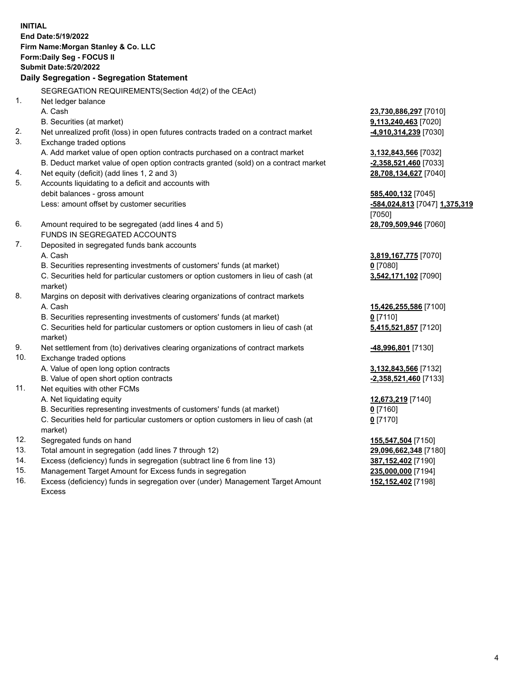**INITIAL End Date:5/19/2022 Firm Name:Morgan Stanley & Co. LLC Form:Daily Seg - FOCUS II Submit Date:5/20/2022 Daily Segregation - Segregation Statement** SEGREGATION REQUIREMENTS(Section 4d(2) of the CEAct) 1. Net ledger balance A. Cash **23,730,886,297** [7010] B. Securities (at market) **9,113,240,463** [7020] 2. Net unrealized profit (loss) in open futures contracts traded on a contract market **-4,910,314,239** [7030] 3. Exchange traded options A. Add market value of open option contracts purchased on a contract market **3,132,843,566** [7032] B. Deduct market value of open option contracts granted (sold) on a contract market **-2,358,521,460** [7033] 4. Net equity (deficit) (add lines 1, 2 and 3) **28,708,134,627** [7040] 5. Accounts liquidating to a deficit and accounts with debit balances - gross amount **585,400,132** [7045] Less: amount offset by customer securities **-584,024,813** [7047] **1,375,319** [7050] 6. Amount required to be segregated (add lines 4 and 5) **28,709,509,946** [7060] FUNDS IN SEGREGATED ACCOUNTS 7. Deposited in segregated funds bank accounts A. Cash **3,819,167,775** [7070] B. Securities representing investments of customers' funds (at market) **0** [7080] C. Securities held for particular customers or option customers in lieu of cash (at market) **3,542,171,102** [7090] 8. Margins on deposit with derivatives clearing organizations of contract markets A. Cash **15,426,255,586** [7100] B. Securities representing investments of customers' funds (at market) **0** [7110] C. Securities held for particular customers or option customers in lieu of cash (at market) **5,415,521,857** [7120] 9. Net settlement from (to) derivatives clearing organizations of contract markets **-48,996,801** [7130] 10. Exchange traded options A. Value of open long option contracts **3,132,843,566** [7132] B. Value of open short option contracts **-2,358,521,460** [7133] 11. Net equities with other FCMs A. Net liquidating equity **12,673,219** [7140] B. Securities representing investments of customers' funds (at market) **0** [7160] C. Securities held for particular customers or option customers in lieu of cash (at market) **0** [7170] 12. Segregated funds on hand **155,547,504** [7150] 13. Total amount in segregation (add lines 7 through 12) **29,096,662,348** [7180] 14. Excess (deficiency) funds in segregation (subtract line 6 from line 13) **387,152,402** [7190] 15. Management Target Amount for Excess funds in segregation **235,000,000** [7194]

16. Excess (deficiency) funds in segregation over (under) Management Target Amount Excess

**152,152,402** [7198]